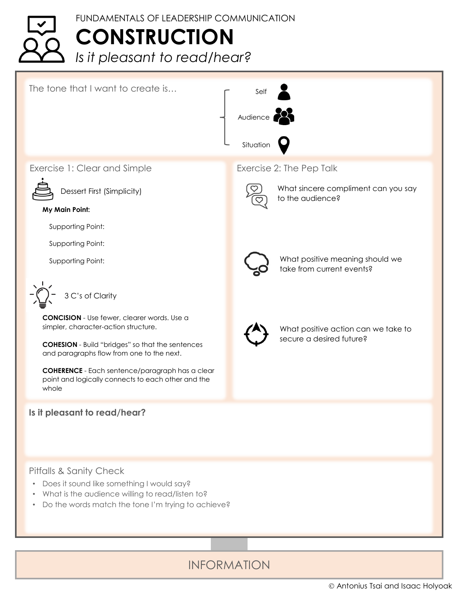## FUNDAMENTALS OF LEADERSHIP COMMUNICATION **CONSTRUCTION** *Is it pleasant to read/hear?*



INFORMATION